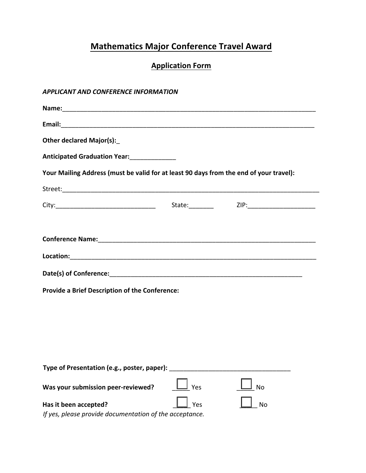# **Mathematics Major Conference Travel Award**

## **Application Form**

#### **APPLICANT AND CONFERENCE INFORMATION**

| <b>Other declared Major(s):</b>                                                        |     |    |  |  |  |  |  |
|----------------------------------------------------------------------------------------|-----|----|--|--|--|--|--|
|                                                                                        |     |    |  |  |  |  |  |
| Your Mailing Address (must be valid for at least 90 days from the end of your travel): |     |    |  |  |  |  |  |
|                                                                                        |     |    |  |  |  |  |  |
|                                                                                        |     |    |  |  |  |  |  |
|                                                                                        |     |    |  |  |  |  |  |
|                                                                                        |     |    |  |  |  |  |  |
|                                                                                        |     |    |  |  |  |  |  |
|                                                                                        |     |    |  |  |  |  |  |
| <b>Provide a Brief Description of the Conference:</b>                                  |     |    |  |  |  |  |  |
|                                                                                        |     |    |  |  |  |  |  |
|                                                                                        |     |    |  |  |  |  |  |
|                                                                                        |     |    |  |  |  |  |  |
|                                                                                        |     |    |  |  |  |  |  |
| Type of Presentation (e.g., poster, paper):                                            |     |    |  |  |  |  |  |
| Was your submission peer-reviewed?                                                     | Yes | No |  |  |  |  |  |
| Has it been accepted?<br>If yes, please provide documentation of the acceptance.       | Yes | No |  |  |  |  |  |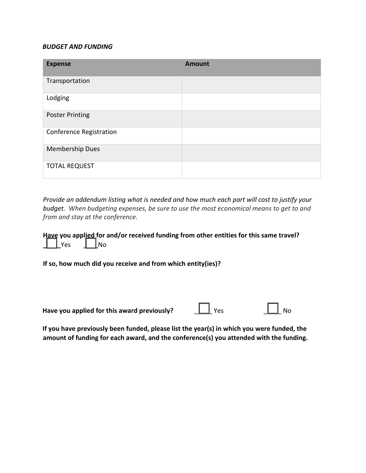#### **BUDGET AND FUNDING**

| <b>Expense</b>                 | <b>Amount</b> |
|--------------------------------|---------------|
| Transportation                 |               |
| Lodging                        |               |
| <b>Poster Printing</b>         |               |
| <b>Conference Registration</b> |               |
| <b>Membership Dues</b>         |               |
| <b>TOTAL REQUEST</b>           |               |

*Provide an addendum listing what is needed and how much each part will cost to justify your budget.* When budgeting expenses, be sure to use the most economical means to get to and *from and stay at the conference.* 

Have you applied for and/or received funding from other entities for this same travel? **\_\_\_\_\_**Yes **\_\_\_\_**No

**If so, how much did you receive and from which entity(ies)?** 

| Have you applied for this award previously? | $\Box$ Yes |  | $\Box$ No |
|---------------------------------------------|------------|--|-----------|
|                                             |            |  |           |

If you have previously been funded, please list the year(s) in which you were funded, the amount of funding for each award, and the conference(s) you attended with the funding.